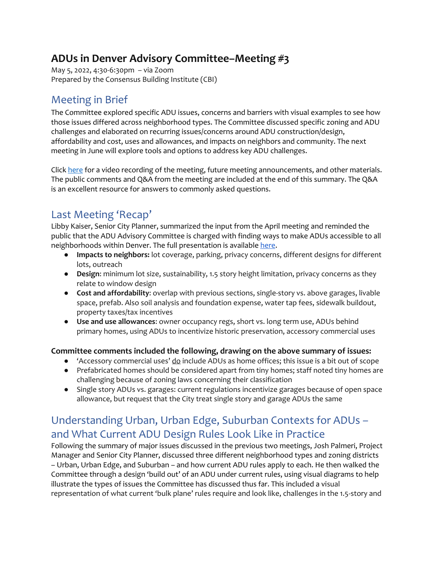# **ADUs in Denver Advisory Committee–Meeting #3**

May 5, 2022, 4:30-6:30pm – via Zoom Prepared by the Consensus Building Institute (CBI)

# Meeting in Brief

The Committee explored specific ADU issues, concerns and barriers with visual examples to see how those issues differed across neighborhood types. The Committee discussed specific zoning and ADU challenges and elaborated on recurring issues/concerns around ADU construction/design, affordability and cost, uses and allowances, and impacts on neighbors and community. The next meeting in June will explore tools and options to address key ADU challenges.

Clic[k here](https://www.denvergov.org/Government/Agencies-Departments-Offices/Agencies-Departments-Offices-Directory/Community-Planning-and-Development/Denver-Zoning-Code/Text-Amendments/ADUs-in-Denver#section-6) for a video recording of the meeting, future meeting announcements, and other materials. The public comments and Q&A from the meeting are included at the end of this summary. The Q&A is an excellent resource for answers to commonly asked questions.

# Last Meeting 'Recap'

Libby Kaiser, Senior City Planner, summarized the input from the April meeting and reminded the public that the ADU Advisory Committee is charged with finding ways to make ADUs accessible to all neighborhoods within Denver. The full presentation is availabl[e here.](https://www.denvergov.org/Government/Agencies-Departments-Offices/Agencies-Departments-Offices-Directory/Community-Planning-and-Development/Denver-Zoning-Code/Text-Amendments/ADUs-in-Denver#section-6)

- **Impacts to neighbors:** lot coverage, parking, privacy concerns, different designs for different lots, outreach
- **Design**: minimum lot size, sustainability, 1.5 story height limitation, privacy concerns as they relate to window design
- **Cost and affordability**: overlap with previous sections, single-story vs. above garages, livable space, prefab. Also soil analysis and foundation expense, water tap fees, sidewalk buildout, property taxes/tax incentives
- **Use and use allowances**: owner occupancy regs, short vs. long term use, ADUs behind primary homes, using ADUs to incentivize historic preservation, accessory commercial uses

### **Committee comments included the following, drawing on the above summary of issues:**

- $\bullet$  'Accessory commercial uses'  $\underline{do}$  include ADUs as home offices; this issue is a bit out of scope
- Prefabricated homes should be considered apart from tiny homes; staff noted tiny homes are challenging because of zoning laws concerning their classification
- Single story ADUs vs. garages: current regulations incentivize garages because of open space allowance, but request that the City treat single story and garage ADUs the same

# Understanding Urban, Urban Edge, Suburban Contexts for ADUs – and What Current ADU Design Rules Look Like in Practice

Following the summary of major issues discussed in the previous two meetings, Josh Palmeri, Project Manager and Senior City Planner, discussed three different neighborhood types and zoning districts – Urban, Urban Edge, and Suburban – and how current ADU rules apply to each. He then walked the Committee through a design 'build out' of an ADU under current rules, using visual diagrams to help illustrate the types of issues the Committee has discussed thus far. This included a visual representation of what current 'bulk plane' rules require and look like, challenges in the 1.5-story and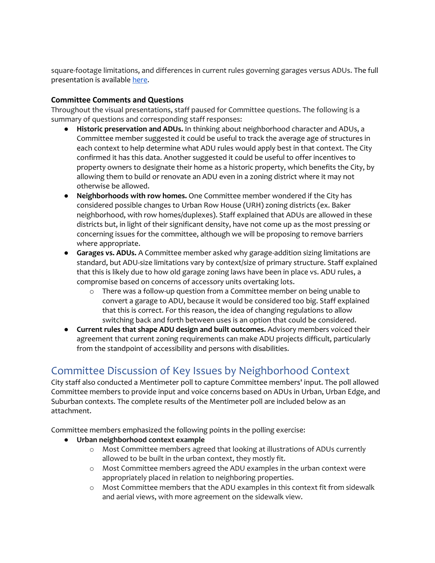square-footage limitations, and differences in current rules governing garages versus ADUs. The full presentation is availabl[e here.](https://www.denvergov.org/Government/Agencies-Departments-Offices/Agencies-Departments-Offices-Directory/Community-Planning-and-Development/Denver-Zoning-Code/Text-Amendments/ADUs-in-Denver#section-6)

#### **Committee Comments and Questions**

Throughout the visual presentations, staff paused for Committee questions. The following is a summary of questions and corresponding staff responses:

- **Historic preservation and ADUs.** In thinking about neighborhood character and ADUs, a Committee member suggested it could be useful to track the average age of structures in each context to help determine what ADU rules would apply best in that context. The City confirmed it has this data. Another suggested it could be useful to offer incentives to property owners to designate their home as a historic property, which benefits the City, by allowing them to build or renovate an ADU even in a zoning district where it may not otherwise be allowed.
- **Neighborhoods with row homes.** One Committee member wondered if the City has considered possible changes to Urban Row House (URH) zoning districts (ex. Baker neighborhood, with row homes/duplexes). Staff explained that ADUs are allowed in these districts but, in light of their significant density, have not come up as the most pressing or concerning issues for the committee, although we will be proposing to remove barriers where appropriate.
- **Garages vs. ADUs.** A Committee member asked why garage-addition sizing limitations are standard, but ADU-size limitations vary by context/size of primary structure. Staff explained that this is likely due to how old garage zoning laws have been in place vs. ADU rules, a compromise based on concerns of accessory units overtaking lots.
	- $\circ$  There was a follow-up question from a Committee member on being unable to convert a garage to ADU, because it would be considered too big. Staff explained that this is correct. For this reason, the idea of changing regulations to allow switching back and forth between uses is an option that could be considered.
- **Current rules that shape ADU design and built outcomes.** Advisory members voiced their agreement that current zoning requirements can make ADU projects difficult, particularly from the standpoint of accessibility and persons with disabilities.

## Committee Discussion of Key Issues by Neighborhood Context

City staff also conducted a Mentimeter poll to capture Committee members' input. The poll allowed Committee members to provide input and voice concerns based on ADUs in Urban, Urban Edge, and Suburban contexts. The complete results of the Mentimeter poll are included below as an attachment.

Committee members emphasized the following points in the polling exercise:

- **Urban neighborhood context example**
	- o Most Committee members agreed that looking at illustrations of ADUs currently allowed to be built in the urban context, they mostly fit.
	- o Most Committee members agreed the ADU examples in the urban context were appropriately placed in relation to neighboring properties.
	- o Most Committee members that the ADU examples in this context fit from sidewalk and aerial views, with more agreement on the sidewalk view.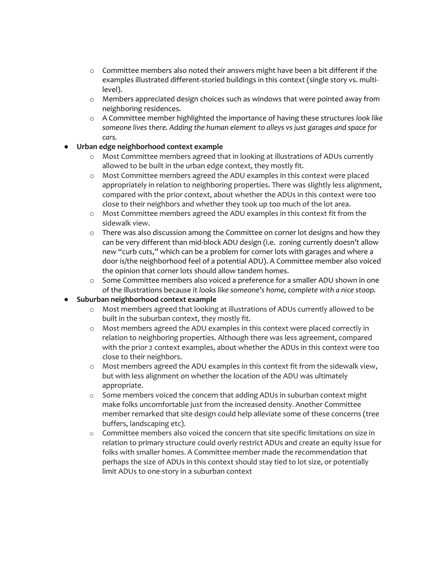- o Committee members also noted their answers might have been a bit different if the examples illustrated different-storied buildings in this context (single story vs. multilevel).
- $\circ$  Members appreciated design choices such as windows that were pointed away from neighboring residences.
- o A Committee member highlighted the importance of having these structures *look like someone lives there. Adding the human element to alleys vs just garages and space for cars.*

#### ● **Urban edge neighborhood context example**

- o Most Committee members agreed that in looking at illustrations of ADUs currently allowed to be built in the urban edge context, they mostly fit.
- o Most Committee members agreed the ADU examples in this context were placed appropriately in relation to neighboring properties. There was slightly less alignment, compared with the prior context, about whether the ADUs in this context were too close to their neighbors and whether they took up too much of the lot area.
- $\circ$  Most Committee members agreed the ADU examples in this context fit from the sidewalk view.
- $\circ$  There was also discussion among the Committee on corner lot designs and how they can be very different than mid-block ADU design (i.e. zoning currently doesn't allow new "curb cuts," which can be a problem for corner lots with garages and where a door is/the neighborhood feel of a potential ADU). A Committee member also voiced the opinion that corner lots should allow tandem homes.
- o Some Committee members also voiced a preference for a smaller ADU shown in one of the illustrations because *it looks like someone's home, complete with a nice stoop.*

#### ● **Suburban neighborhood context example**

- o Most members agreed that looking at illustrations of ADUs currently allowed to be built in the suburban context, they mostly fit.
- o Most members agreed the ADU examples in this context were placed correctly in relation to neighboring properties. Although there was less agreement, compared with the prior 2 context examples, about whether the ADUs in this context were too close to their neighbors.
- $\circ$  Most members agreed the ADU examples in this context fit from the sidewalk view, but with less alignment on whether the location of the ADU was ultimately appropriate.
- o Some members voiced the concern that adding ADUs in suburban context might make folks uncomfortable just from the increased density. Another Committee member remarked that site design could help alleviate some of these concerns (tree buffers, landscaping etc).
- o Committee members also voiced the concern that site specific limitations on size in relation to primary structure could overly restrict ADUs and create an equity issue for folks with smaller homes. A Committee member made the recommendation that perhaps the size of ADUs in this context should stay tied to lot size, or potentially limit ADUs to one-story in a suburban context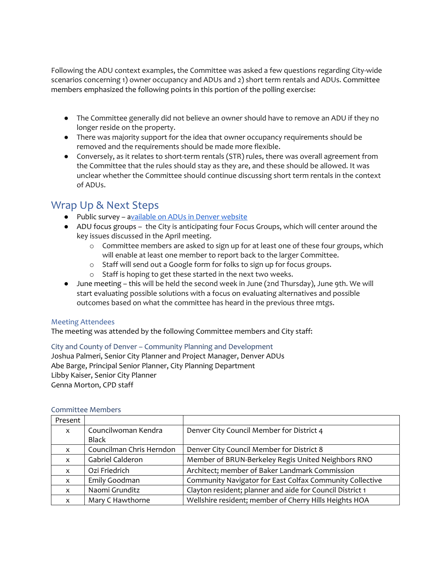Following the ADU context examples, the Committee was asked a few questions regarding City-wide scenarios concerning 1) owner occupancy and ADUs and 2) short term rentals and ADUs. Committee members emphasized the following points in this portion of the polling exercise:

- The Committee generally did not believe an owner should have to remove an ADU if they no longer reside on the property.
- There was majority support for the idea that owner occupancy requirements should be removed and the requirements should be made more flexible.
- Conversely, as it relates to short-term rentals (STR) rules, there was overall agreement from the Committee that the rules should stay as they are, and these should be allowed. It was unclear whether the Committee should continue discussing short term rentals in the context of ADUs.

### Wrap Up & Next Steps

- Public survey [a](https://www.surveymonkey.com/r/5SKQQLQ)vailable on ADUs in Denver website
- ADU focus groups the City is anticipating four Focus Groups, which will center around the key issues discussed in the April meeting.
	- $\circ$  Committee members are asked to sign up for at least one of these four groups, which will enable at least one member to report back to the larger Committee.
	- o Staff will send out a Google form for folks to sign up for focus groups.
	- o Staff is hoping to get these started in the next two weeks.
- June meeting this will be held the second week in June (2nd Thursday), June 9th. We will start evaluating possible solutions with a focus on evaluating alternatives and possible outcomes based on what the committee has heard in the previous three mtgs.

#### Meeting Attendees

The meeting was attended by the following Committee members and City staff:

City and County of Denver – Community Planning and Development Joshua Palmeri, Senior City Planner and Project Manager, Denver ADUs Abe Barge, Principal Senior Planner, City Planning Department Libby Kaiser, Senior City Planner Genna Morton, CPD staff

| Present                   |                          |                                                           |
|---------------------------|--------------------------|-----------------------------------------------------------|
| $\mathsf{x}$              | Councilwoman Kendra      | Denver City Council Member for District 4                 |
|                           | Black                    |                                                           |
| X                         | Councilman Chris Herndon | Denver City Council Member for District 8                 |
| $\boldsymbol{\mathsf{x}}$ | Gabriel Calderon         | Member of BRUN-Berkeley Regis United Neighbors RNO        |
| $\mathsf{x}$              | Ozi Friedrich            | Architect; member of Baker Landmark Commission            |
| X                         | Emily Goodman            | Community Navigator for East Colfax Community Collective  |
| $\mathsf{x}$              | Naomi Grunditz           | Clayton resident; planner and aide for Council District 1 |
| X                         | Mary C Hawthorne         | Wellshire resident; member of Cherry Hills Heights HOA    |

#### Committee Members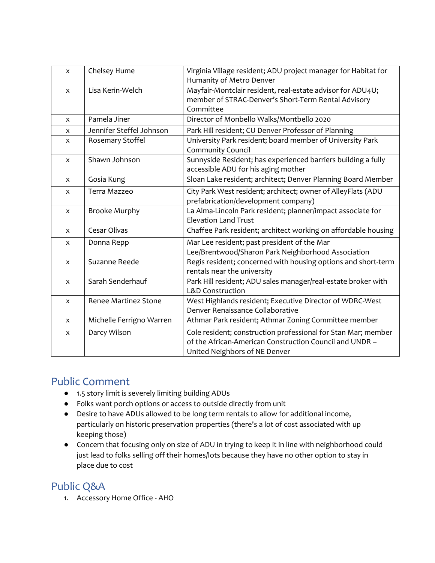| $\mathsf{x}$              | Chelsey Hume                | Virginia Village resident; ADU project manager for Habitat for<br>Humanity of Metro Denver                                                                |
|---------------------------|-----------------------------|-----------------------------------------------------------------------------------------------------------------------------------------------------------|
| $\mathsf{x}$              | Lisa Kerin-Welch            | Mayfair-Montclair resident, real-estate advisor for ADU4U;<br>member of STRAC-Denver's Short-Term Rental Advisory<br>Committee                            |
| $\boldsymbol{\mathsf{x}}$ | Pamela Jiner                | Director of Monbello Walks/Montbello 2020                                                                                                                 |
| X                         | Jennifer Steffel Johnson    | Park Hill resident; CU Denver Professor of Planning                                                                                                       |
| $\pmb{\times}$            | Rosemary Stoffel            | University Park resident; board member of University Park<br><b>Community Council</b>                                                                     |
| $\pmb{\times}$            | Shawn Johnson               | Sunnyside Resident; has experienced barriers building a fully<br>accessible ADU for his aging mother                                                      |
| $\boldsymbol{\mathsf{X}}$ | Gosia Kung                  | Sloan Lake resident; architect; Denver Planning Board Member                                                                                              |
| $\pmb{\times}$            | Terra Mazzeo                | City Park West resident; architect; owner of AlleyFlats (ADU<br>prefabrication/development company)                                                       |
| $\mathsf{x}$              | <b>Brooke Murphy</b>        | La Alma-Lincoln Park resident; planner/impact associate for<br><b>Elevation Land Trust</b>                                                                |
| $\mathsf{x}$              | Cesar Olivas                | Chaffee Park resident; architect working on affordable housing                                                                                            |
| X                         | Donna Repp                  | Mar Lee resident; past president of the Mar<br>Lee/Brentwood/Sharon Park Neighborhood Association                                                         |
| $\pmb{\times}$            | Suzanne Reede               | Regis resident; concerned with housing options and short-term<br>rentals near the university                                                              |
| $\mathsf{x}$              | Sarah Senderhauf            | Park Hill resident; ADU sales manager/real-estate broker with<br><b>L&amp;D Construction</b>                                                              |
| $\mathsf{x}$              | <b>Renee Martinez Stone</b> | West Highlands resident; Executive Director of WDRC-West<br>Denver Renaissance Collaborative                                                              |
| $\mathsf{x}$              | Michelle Ferrigno Warren    | Athmar Park resident; Athmar Zoning Committee member                                                                                                      |
| X                         | Darcy Wilson                | Cole resident; construction professional for Stan Mar; member<br>of the African-American Construction Council and UNDR -<br>United Neighbors of NE Denver |

### Public Comment

- 1.5 story limit is severely limiting building ADUs
- Folks want porch options or access to outside directly from unit
- Desire to have ADUs allowed to be long term rentals to allow for additional income, particularly on historic preservation properties (there's a lot of cost associated with up keeping those)
- Concern that focusing only on size of ADU in trying to keep it in line with neighborhood could just lead to folks selling off their homes/lots because they have no other option to stay in place due to cost

### Public Q&A

1. Accessory Home Office - AHO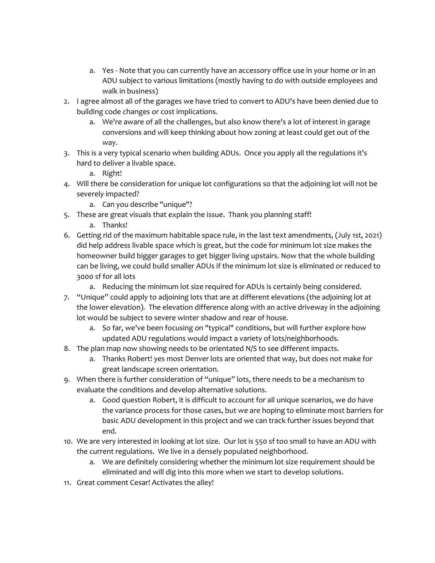- a. Yes Note that you can currently have an accessory office use in your home or in an ADU subject to various limitations (mostly having to do with outside employees and walk in business)
- 2. I agree almost all of the garages we have tried to convert to ADU's have been denied due to building code changes or cost implications.
	- a. We're aware of all the challenges, but also know there's a lot of interest in garage conversions and will keep thinking about how zoning at least could get out of the way.
- 3. This is a very typical scenario when building ADUs. Once you apply all the regulations it's hard to deliver a livable space.

a. Right!

- 4. Will there be consideration for unique lot configurations so that the adjoining lot will not be severely impacted?
	- a. Can you describe "unique"?
- 5. These are great visuals that explain the issue. Thank you planning staff!
	- a. Thanks!
- 6. Getting rid of the maximum habitable space rule, in the last text amendments, (July 1st, 2021) did help address livable space which is great, but the code for minimum lot size makes the homeowner build bigger garages to get bigger living upstairs. Now that the whole building can be living, we could build smaller ADUs if the minimum lot size is eliminated or reduced to 3000 sf for all lots
	- a. Reducing the minimum lot size required for ADUs is certainly being considered.
- 7. "Unique" could apply to adjoining lots that are at different elevations (the adjoining lot at the lower elevation). The elevation difference along with an active driveway in the adjoining lot would be subject to severe winter shadow and rear of house.
	- a. So far, we've been focusing on "typical" conditions, but will further explore how updated ADU regulations would impact a variety of lots/neighborhoods.
- 8. The plan map now showing needs to be orientated N/S to see different impacts.
	- a. Thanks Robert! yes most Denver lots are oriented that way, but does not make for great landscape screen orientation.
- 9. When there is further consideration of "unique" lots, there needs to be a mechanism to evaluate the conditions and develop alternative solutions.
	- a. Good question Robert, it is difficult to account for all unique scenarios, we do have the variance process for those cases, but we are hoping to eliminate most barriers for basic ADU development in this project and we can track further issues beyond that end.
- 10. We are very interested in looking at lot size. Our lot is 550 sf too small to have an ADU with the current regulations. We live in a densely populated neighborhood.
	- a. We are definitely considering whether the minimum lot size requirement should be eliminated and will dig into this more when we start to develop solutions.
- 11. Great comment Cesar! Activates the alley!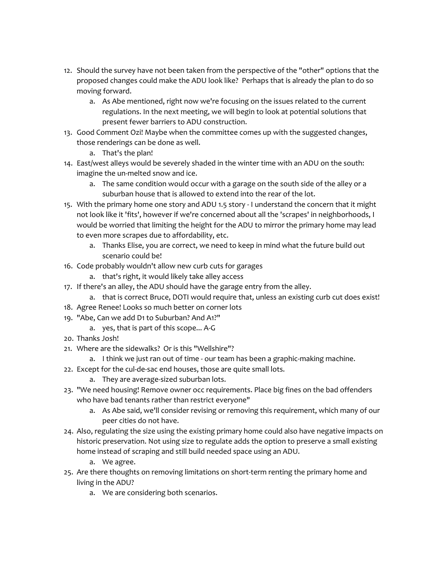- 12. Should the survey have not been taken from the perspective of the "other" options that the proposed changes could make the ADU look like? Perhaps that is already the plan to do so moving forward.
	- a. As Abe mentioned, right now we're focusing on the issues related to the current regulations. In the next meeting, we will begin to look at potential solutions that present fewer barriers to ADU construction.
- 13. Good Comment Ozi! Maybe when the committee comes up with the suggested changes, those renderings can be done as well.
	- a. That's the plan!
- 14. East/west alleys would be severely shaded in the winter time with an ADU on the south: imagine the un-melted snow and ice.
	- a. The same condition would occur with a garage on the south side of the alley or a suburban house that is allowed to extend into the rear of the lot.
- 15. With the primary home one story and ADU 1.5 story I understand the concern that it might not look like it 'fits', however if we're concerned about all the 'scrapes' in neighborhoods, I would be worried that limiting the height for the ADU to mirror the primary home may lead to even more scrapes due to affordability, etc.
	- a. Thanks Elise, you are correct, we need to keep in mind what the future build out scenario could be!
- 16. Code probably wouldn't allow new curb cuts for garages
	- a. that's right, it would likely take alley access
- 17. If there's an alley, the ADU should have the garage entry from the alley.
	- a. that is correct Bruce, DOTI would require that, unless an existing curb cut does exist!
- 18. Agree Renee! Looks so much better on corner lots
- 19. "Abe, Can we add D1 to Suburban? And A1?"
	- a. yes, that is part of this scope... A-G
- 20. Thanks Josh!
- 21. Where are the sidewalks? Or is this "Wellshire"?
	- a. I think we just ran out of time our team has been a graphic-making machine.
- 22. Except for the cul-de-sac end houses, those are quite small lots.
	- a. They are average-sized suburban lots.
- 23. "We need housing! Remove owner occ requirements. Place big fines on the bad offenders who have bad tenants rather than restrict everyone"
	- a. As Abe said, we'll consider revising or removing this requirement, which many of our peer cities do not have.
- 24. Also, regulating the size using the existing primary home could also have negative impacts on historic preservation. Not using size to regulate adds the option to preserve a small existing home instead of scraping and still build needed space using an ADU.
	- a. We agree.
- 25. Are there thoughts on removing limitations on short-term renting the primary home and living in the ADU?
	- a. We are considering both scenarios.